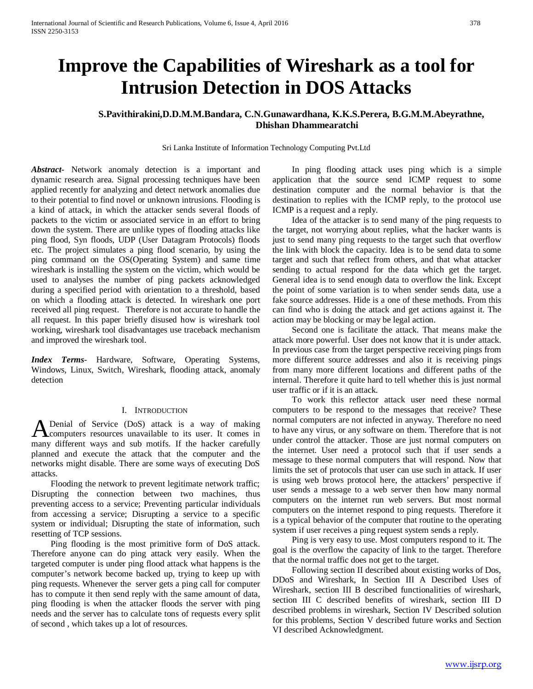# **Improve the Capabilities of Wireshark as a tool for Intrusion Detection in DOS Attacks**

## **S.Pavithirakini,D.D.M.M.Bandara, C.N.Gunawardhana, K.K.S.Perera, B.G.M.M.Abeyrathne, Dhishan Dhammearatchi**

Sri Lanka Institute of Information Technology Computing Pvt.Ltd

*Abstract***-** Network anomaly detection is a important and dynamic research area. Signal processing techniques have been applied recently for analyzing and detect network anomalies due to their potential to find novel or unknown intrusions. Flooding is a kind of attack, in which the attacker sends several floods of packets to the victim or associated service in an effort to bring down the system. There are unlike types of flooding attacks like ping flood, Syn floods, UDP (User Datagram Protocols) floods etc. The project simulates a ping flood scenario, by using the ping command on the OS(Operating System) and same time wireshark is installing the system on the victim, which would be used to analyses the number of ping packets acknowledged during a specified period with orientation to a threshold, based on which a flooding attack is detected. In wireshark one port received all ping request. Therefore is not accurate to handle the all request. In this paper briefly disused how is wireshark tool working, wireshark tool disadvantages use traceback mechanism and improved the wireshark tool.

*Index Terms*- Hardware, Software, Operating Systems, Windows, Linux, Switch, Wireshark, flooding attack, anomaly detection

## I. INTRODUCTION

Denial of Service (DoS) attack is a way of making **A** Denial of Service (DoS) attack is a way of making<br>computers resources unavailable to its user. It comes in many different ways and sub motifs. If the hacker carefully planned and execute the attack that the computer and the networks might disable. There are some ways of executing DoS attacks.

 Flooding the network to prevent legitimate network traffic; Disrupting the connection between two machines, thus preventing access to a service; Preventing particular individuals from accessing a service; Disrupting a service to a specific system or individual; Disrupting the state of information, such resetting of TCP sessions.

 Ping flooding is the most primitive form of DoS attack. Therefore anyone can do ping attack very easily. When the targeted computer is under ping flood attack what happens is the computer's network become backed up, trying to keep up with ping requests. Whenever the server gets a ping call for computer has to compute it then send reply with the same amount of data, ping flooding is when the attacker floods the server with ping needs and the server has to calculate tons of requests every split of second , which takes up a lot of resources.

 In ping flooding attack uses ping which is a simple application that the source send ICMP request to some destination computer and the normal behavior is that the destination to replies with the ICMP reply, to the protocol use ICMP is a request and a reply.

 Idea of the attacker is to send many of the ping requests to the target, not worrying about replies, what the hacker wants is just to send many ping requests to the target such that overflow the link with block the capacity. Idea is to be send data to some target and such that reflect from others, and that what attacker sending to actual respond for the data which get the target. General idea is to send enough data to overflow the link. Except the point of some variation is to when sender sends data, use a fake source addresses. Hide is a one of these methods. From this can find who is doing the attack and get actions against it. The action may be blocking or may be legal action.

 Second one is facilitate the attack. That means make the attack more powerful. User does not know that it is under attack. In previous case from the target perspective receiving pings from more different source addresses and also it is receiving pings from many more different locations and different paths of the internal. Therefore it quite hard to tell whether this is just normal user traffic or if it is an attack.

 To work this reflector attack user need these normal computers to be respond to the messages that receive? These normal computers are not infected in anyway. Therefore no need to have any virus, or any software on them. Therefore that is not under control the attacker. Those are just normal computers on the internet. User need a protocol such that if user sends a message to these normal computers that will respond. Now that limits the set of protocols that user can use such in attack. If user is using web brows protocol here, the attackers' perspective if user sends a message to a web server then how many normal computers on the internet run web servers. But most normal computers on the internet respond to ping requests. Therefore it is a typical behavior of the computer that routine to the operating system if user receives a ping request system sends a reply.

 Ping is very easy to use. Most computers respond to it. The goal is the overflow the capacity of link to the target. Therefore that the normal traffic does not get to the target.

 Following section II described about existing works of Dos, DDoS and Wireshark, In Section III A Described Uses of Wireshark, section III B described functionalities of wireshark, section III C described benefits of wireshark, section III D described problems in wireshark, Section IV Described solution for this problems, Section V described future works and Section VI described Acknowledgment.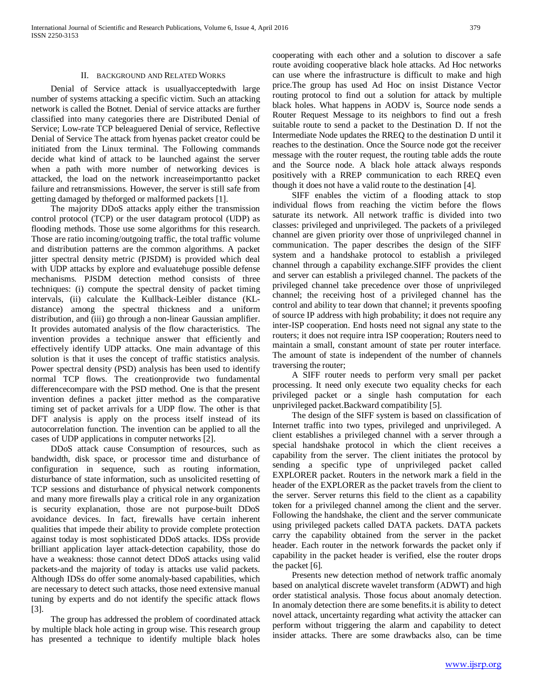## II. BACKGROUND AND RELATED WORKS

 Denial of Service attack is usuallyacceptedwith large number of systems attacking a specific victim. Such an attacking network is called the Botnet. Denial of service attacks are further classified into many categories there are Distributed Denial of Service; Low-rate TCP beleaguered Denial of service, Reflective Denial of Service The attack from hyenas packet creator could be initiated from the Linux terminal. The Following commands decide what kind of attack to be launched against the server when a path with more number of networking devices is attacked, the load on the network increaseimportantto packet failure and retransmissions. However, the server is still safe from getting damaged by theforged or malformed packets [1].

 The majority DDoS attacks apply either the transmission control protocol (TCP) or the user datagram protocol (UDP) as flooding methods. Those use some algorithms for this research. Those are ratio incoming/outgoing traffic, the total traffic volume and distribution patterns are the common algorithms. A packet jitter spectral density metric (PJSDM) is provided which deal with UDP attacks by explore and evaluatehuge possible defense mechanisms. PJSDM detection method consists of three techniques: (i) compute the spectral density of packet timing intervals, (ii) calculate the Kullback-Leibler distance (KLdistance) among the spectral thickness and a uniform distribution, and (iii) go through a non-linear Gaussian amplifier. It provides automated analysis of the flow characteristics. The invention provides a technique answer that efficiently and effectively identify UDP attacks. One main advantage of this solution is that it uses the concept of traffic statistics analysis. Power spectral density (PSD) analysis has been used to identify normal TCP flows. The creationprovide two fundamental differencecompare with the PSD method. One is that the present invention defines a packet jitter method as the comparative timing set of packet arrivals for a UDP flow. The other is that DFT analysis is apply on the process itself instead of its autocorrelation function. The invention can be applied to all the cases of UDP applications in computer networks [2].

 DDoS attack cause Consumption of resources, such as bandwidth, disk space, or processor time and disturbance of configuration in sequence, such as routing information, disturbance of state information, such as unsolicited resetting of TCP sessions and disturbance of physical network components and many more firewalls play a critical role in any organization is security explanation, those are not purpose-built DDoS avoidance devices. In fact, firewalls have certain inherent qualities that impede their ability to provide complete protection against today is most sophisticated DDoS attacks. IDSs provide brilliant application layer attack-detection capability, those do have a weakness: those cannot detect DDoS attacks using valid packets-and the majority of today is attacks use valid packets. Although IDSs do offer some anomaly-based capabilities, which are necessary to detect such attacks, those need extensive manual tuning by experts and do not identify the specific attack flows [3].

 The group has addressed the problem of coordinated attack by multiple black hole acting in group wise. This research group has presented a technique to identify multiple black holes cooperating with each other and a solution to discover a safe route avoiding cooperative black hole attacks. Ad Hoc networks can use where the infrastructure is difficult to make and high price.The group has used Ad Hoc on insist Distance Vector routing protocol to find out a solution for attack by multiple black holes. What happens in AODV is, Source node sends a Router Request Message to its neighbors to find out a fresh suitable route to send a packet to the Destination D. If not the Intermediate Node updates the RREQ to the destination D until it reaches to the destination. Once the Source node got the receiver message with the router request, the routing table adds the route and the Source node. A black hole attack always responds positively with a RREP communication to each RREQ even though it does not have a valid route to the destination [4].

 SIFF enables the victim of a flooding attack to stop individual flows from reaching the victim before the flows saturate its network. All network traffic is divided into two classes: privileged and unprivileged. The packets of a privileged channel are given priority over those of unprivileged channel in communication. The paper describes the design of the SIFF system and a handshake protocol to establish a privileged channel through a capability exchange.SIFF provides the client and server can establish a privileged channel. The packets of the privileged channel take precedence over those of unprivileged channel; the receiving host of a privileged channel has the control and ability to tear down that channel; it prevents spoofing of source IP address with high probability; it does not require any inter-ISP cooperation. End hosts need not signal any state to the routers; it does not require intra ISP cooperation; Routers need to maintain a small, constant amount of state per router interface. The amount of state is independent of the number of channels traversing the router;

 A SIFF router needs to perform very small per packet processing. It need only execute two equality checks for each privileged packet or a single hash computation for each unprivileged packet.Backward compatibility [5].

 The design of the SIFF system is based on classification of Internet traffic into two types, privileged and unprivileged. A client establishes a privileged channel with a server through a special handshake protocol in which the client receives a capability from the server. The client initiates the protocol by sending a specific type of unprivileged packet called EXPLORER packet. Routers in the network mark a field in the header of the EXPLORER as the packet travels from the client to the server. Server returns this field to the client as a capability token for a privileged channel among the client and the server. Following the handshake, the client and the server communicate using privileged packets called DATA packets. DATA packets carry the capability obtained from the server in the packet header. Each router in the network forwards the packet only if capability in the packet header is verified, else the router drops the packet [6].

 Presents new detection method of network traffic anomaly based on analytical discrete wavelet transform (ADWT) and high order statistical analysis. Those focus about anomaly detection. In anomaly detection there are some benefits.it is ability to detect novel attack, uncertainty regarding what activity the attacker can perform without triggering the alarm and capability to detect insider attacks. There are some drawbacks also, can be time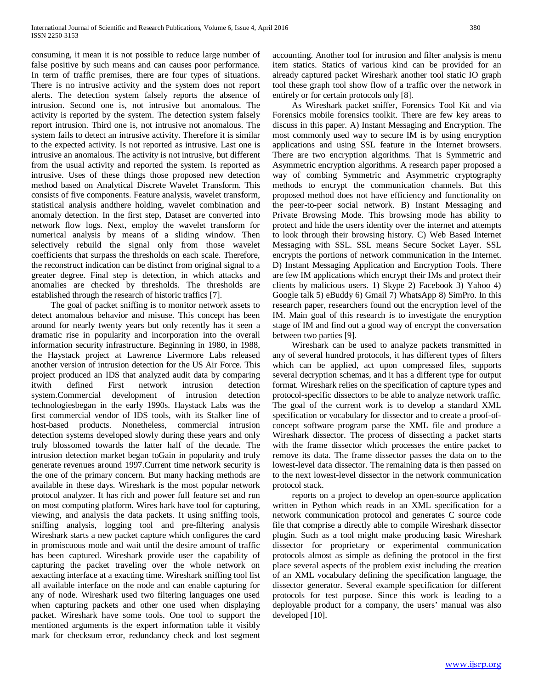consuming, it mean it is not possible to reduce large number of false positive by such means and can causes poor performance. In term of traffic premises, there are four types of situations. There is no intrusive activity and the system does not report alerts. The detection system falsely reports the absence of intrusion. Second one is, not intrusive but anomalous. The activity is reported by the system. The detection system falsely report intrusion. Third one is, not intrusive not anomalous. The system fails to detect an intrusive activity. Therefore it is similar to the expected activity. Is not reported as intrusive. Last one is intrusive an anomalous. The activity is not intrusive, but different from the usual activity and reported the system. Is reported as intrusive. Uses of these things those proposed new detection method based on Analytical Discrete Wavelet Transform. This consists of five components. Feature analysis, wavelet transform, statistical analysis andthere holding, wavelet combination and anomaly detection. In the first step, Dataset are converted into network flow logs. Next, employ the wavelet transform for numerical analysis by means of a sliding window. Then selectively rebuild the signal only from those wavelet coefficients that surpass the thresholds on each scale. Therefore, the reconstruct indication can be distinct from original signal to a greater degree. Final step is detection, in which attacks and anomalies are checked by thresholds. The thresholds are established through the research of historic traffics [7].

 The goal of packet sniffing is to monitor network assets to detect anomalous behavior and misuse. This concept has been around for nearly twenty years but only recently has it seen a dramatic rise in popularity and incorporation into the overall information security infrastructure. Beginning in 1980, in 1988, the Haystack project at Lawrence Livermore Labs released another version of intrusion detection for the US Air Force. This project produced an IDS that analyzed audit data by comparing itwith defined First network intrusion detection system.Commercial development of intrusion detection technologiesbegan in the early 1990s. Haystack Labs was the first commercial vendor of IDS tools, with its Stalker line of host-based products. Nonetheless, commercial intrusion detection systems developed slowly during these years and only truly blossomed towards the latter half of the decade. The intrusion detection market began toGain in popularity and truly generate revenues around 1997.Current time network security is the one of the primary concern. But many hacking methods are available in these days. Wireshark is the most popular network protocol analyzer. It has rich and power full feature set and run on most computing platform. Wires hark have tool for capturing, viewing, and analysis the data packets. It using sniffing tools, sniffing analysis, logging tool and pre-filtering analysis Wireshark starts a new packet capture which configures the card in promiscuous mode and wait until the desire amount of traffic has been captured. Wireshark provide user the capability of capturing the packet traveling over the whole network on aexacting interface at a exacting time. Wireshark sniffing tool list all available interface on the node and can enable capturing for any of node. Wireshark used two filtering languages one used when capturing packets and other one used when displaying packet. Wireshark have some tools. One tool to support the mentioned arguments is the expert information table it visibly mark for checksum error, redundancy check and lost segment accounting. Another tool for intrusion and filter analysis is menu item statics. Statics of various kind can be provided for an already captured packet Wireshark another tool static IO graph tool these graph tool show flow of a traffic over the network in entirely or for certain protocols only [8].

 As Wireshark packet sniffer, Forensics Tool Kit and via Forensics mobile forensics toolkit. There are few key areas to discuss in this paper. A) Instant Messaging and Encryption. The most commonly used way to secure IM is by using encryption applications and using SSL feature in the Internet browsers. There are two encryption algorithms. That is Symmetric and Asymmetric encryption algorithms. A research paper proposed a way of combing Symmetric and Asymmetric cryptography methods to encrypt the communication channels. But this proposed method does not have efficiency and functionality on the peer-to-peer social network. B) Instant Messaging and Private Browsing Mode. This browsing mode has ability to protect and hide the users identity over the internet and attempts to look through their browsing history. C) Web Based Internet Messaging with SSL. SSL means Secure Socket Layer. SSL encrypts the portions of network communication in the Internet. D) Instant Messaging Application and Encryption Tools. There are few IM applications which encrypt their IMs and protect their clients by malicious users. 1) Skype 2) Facebook 3) Yahoo 4) Google talk 5) eBuddy 6) Gmail 7) WhatsApp 8) SimPro. In this research paper, researchers found out the encryption level of the IM. Main goal of this research is to investigate the encryption stage of IM and find out a good way of encrypt the conversation between two parties [9].

 Wireshark can be used to analyze packets transmitted in any of several hundred protocols, it has different types of filters which can be applied, act upon compressed files, supports several decryption schemas, and it has a different type for output format. Wireshark relies on the specification of capture types and protocol-specific dissectors to be able to analyze network traffic. The goal of the current work is to develop a standard XML specification or vocabulary for dissector and to create a proof-ofconcept software program parse the XML file and produce a Wireshark dissector. The process of dissecting a packet starts with the frame dissector which processes the entire packet to remove its data. The frame dissector passes the data on to the lowest-level data dissector. The remaining data is then passed on to the next lowest-level dissector in the network communication protocol stack.

 reports on a project to develop an open-source application written in Python which reads in an XML specification for a network communication protocol and generates C source code file that comprise a directly able to compile Wireshark dissector plugin. Such as a tool might make producing basic Wireshark dissector for proprietary or experimental communication protocols almost as simple as defining the protocol in the first place several aspects of the problem exist including the creation of an XML vocabulary defining the specification language, the dissector generator. Several example specification for different protocols for test purpose. Since this work is leading to a deployable product for a company, the users' manual was also developed [10].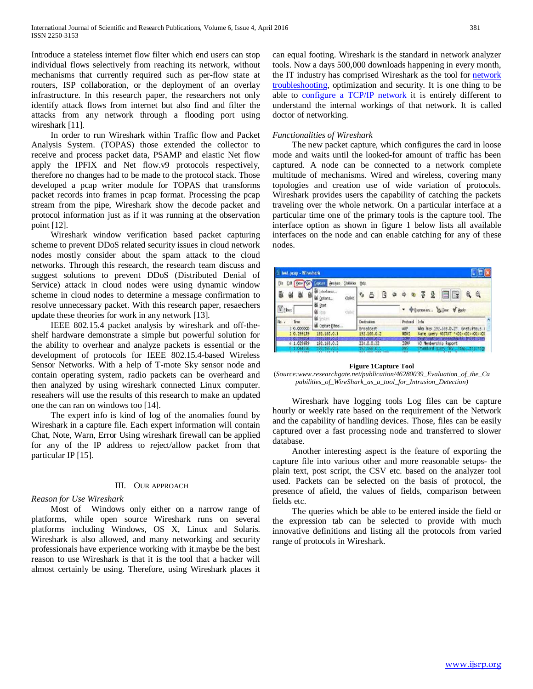Introduce a stateless internet flow filter which end users can stop individual flows selectively from reaching its network, without mechanisms that currently required such as per-flow state at routers, ISP collaboration, or the deployment of an overlay infrastructure. In this research paper, the researchers not only identify attack flows from internet but also find and filter the attacks from any network through a flooding port using wireshark [11].

 In order to run Wireshark within Traffic flow and Packet Analysis System. (TOPAS) those extended the collector to receive and process packet data, PSAMP and elastic Net flow apply the IPFIX and Net flow.v9 protocols respectively, therefore no changes had to be made to the protocol stack. Those developed a pcap writer module for TOPAS that transforms packet records into frames in pcap format. Processing the pcap stream from the pipe, Wireshark show the decode packet and protocol information just as if it was running at the observation point [12].

 Wireshark window verification based packet capturing scheme to prevent DDoS related security issues in cloud network nodes mostly consider about the spam attack to the cloud networks. Through this research, the research team discuss and suggest solutions to prevent DDoS (Distributed Denial of Service) attack in cloud nodes were using dynamic window scheme in cloud nodes to determine a message confirmation to resolve unnecessary packet. With this research paper, resaechers update these theories for work in any network [13].

 IEEE 802.15.4 packet analysis by wireshark and off-theshelf hardware demonstrate a simple but powerful solution for the ability to overhear and analyze packets is essential or the development of protocols for IEEE 802.15.4-based Wireless Sensor Networks. With a help of T-mote Sky sensor node and contain operating system, radio packets can be overheard and then analyzed by using wireshark connected Linux computer. reseahers will use the results of this research to make an updated one the can ran on windows too [14].

 The expert info is kind of log of the anomalies found by Wireshark in a capture file. Each expert information will contain Chat, Note, Warn, Error Using wireshark firewall can be applied for any of the IP address to reject/allow packet from that particular IP [15].

## III. OUR APPROACH

## *Reason for Use Wireshark*

 Most of Windows only either on a narrow range of platforms, while open source Wireshark runs on several platforms including Windows, OS X, Linux and Solaris. Wireshark is also allowed, and many networking and security professionals have experience working with it.maybe be the best reason to use Wireshark is that it is the tool that a hacker will almost certainly be using. Therefore, using Wireshark places it can equal footing. Wireshark is the standard in network analyzer tools. Now a days 500,000 downloads happening in every month, the IT industry has comprised Wireshark as the tool for [network](http://searchnetworking.techtarget.com/tip/How-to-manage-Wireshark-display-filters)  [troubleshooting,](http://searchnetworking.techtarget.com/tip/How-to-manage-Wireshark-display-filters) optimization and security. It is one thing to be able to [configure a TCP/IP network](http://search400.techtarget.com/answer/How-does-one-configure-TCP-IP) it is entirely different to understand the internal workings of that network. It is called doctor of networking.

## *Functionalities of Wireshark*

 The new packet capture, which configures the card in loose mode and waits until the looked-for amount of traffic has been captured. A node can be connected to a network complete multitude of mechanisms. Wired and wireless, covering many topologies and creation use of wide variation of protocols. Wireshark provides users the capability of catching the packets traveling over the whole network. On a particular interface at a particular time one of the primary tools is the capture tool. The interface option as shown in figure 1 below lists all available interfaces on the node and can enable catching for any of these nodes.

| test.ocap - Wireshark                   |                                                   |                                |                                                                                                                            |
|-----------------------------------------|---------------------------------------------------|--------------------------------|----------------------------------------------------------------------------------------------------------------------------|
| Yew<br>60                               | Analyze Stabilizes<br><b><i><u>CUCLER</u></i></b> | <b><i><u>Hdp</u></i></b>       |                                                                                                                            |
|                                         | in Istorinees<br><b>Chi+K</b><br>US Cohons        | $e_{a}$                        | a                                                                                                                          |
| <b>V</b> Fhan                           | <b>B Stat</b><br>Chini<br><b>B</b> 3th            |                                | Common William & Books                                                                                                     |
| True<br>0.00000                         | <b>MA</b> SOCHE<br><b>M.</b> Capture Elbers       | <b>Oudination</b><br>Broadcast | $1r$ fo<br>Protocol<br>ARP<br>Mro has 192, L68.0.27<br>Gratuitous                                                          |
| 10.199139                               | 122.140.0.1                                       | 192.160.0.2                    | Maris<br>Many query NISTAT * 000 000>000 col                                                                               |
| <b>PARADI</b><br>4 1.025659<br>1.044756 | 12251685010<br>192.168.0.2<br>1977                | ssentsron<br>224.0.0.22        | <b>TCMP</b><br>Destination unreachable (Port unr)<br>IGNP<br>V3 Neibership Report<br>m<br>Standard query SRV (166) troinbo |

**Figure 1Capture Tool**

(*Source:www.researchgate.net/publication/46280039\_Evaluation\_of\_the\_Ca pabilities\_of\_WireShark\_as\_a\_tool\_for\_Intrusion\_Detection)*

 Wireshark have logging tools Log files can be capture hourly or weekly rate based on the requirement of the Network and the capability of handling devices. Those, files can be easily captured over a fast processing node and transferred to slower database.

 Another interesting aspect is the feature of exporting the capture file into various other and more reasonable setups- the plain text, post script, the CSV etc. based on the analyzer tool used. Packets can be selected on the basis of protocol, the presence of afield, the values of fields, comparison between fields etc.

 The queries which be able to be entered inside the field or the expression tab can be selected to provide with much innovative definitions and listing all the protocols from varied range of protocols in Wireshark.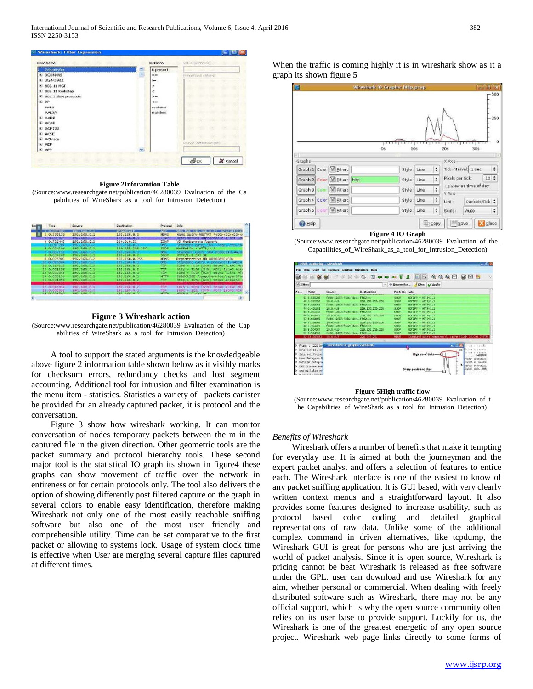

**Figure 2Inforamtion Table**

(Source:www.researchgate.net/publication/46280039\_Evaluation\_of\_the\_Ca pabilities\_of\_WireShark\_as\_a\_tool\_for\_Intrusion\_Detection)



**Figure 3 Wireshark action** (Source:www.researchgate.net/publication/46280039\_Evaluation\_of\_the\_Cap abilities\_of\_WireShark\_as\_a\_tool\_for\_Intrusion\_Detection)

 A tool to support the stated arguments is the knowledgeable above figure 2 information table shown below as it visibly marks for checksum errors, redundancy checks and lost segment accounting. Additional tool for intrusion and filter examination is the menu item - statistics. Statistics a variety of packets canister be provided for an already captured packet, it is protocol and the conversation.

 Figure 3 show how wireshark working. It can monitor conversation of nodes temporary packets between the m in the captured file in the given direction. Other geometric tools are the packet summary and protocol hierarchy tools. These second major tool is the statistical IO graph its shown in figure4 these graphs can show movement of traffic over the network in entireness or for certain protocols only. The tool also delivers the option of showing differently post filtered capture on the graph in several colors to enable easy identification, therefore making Wireshark not only one of the most easily reachable sniffing software but also one of the most user friendly and comprehensible utility. Time can be set comparative to the first packet or allowing to systems lock. Usage of system clock time is effective when User are merging several capture files captured at different times.

When the traffic is coming highly it is in wireshark show as it a graph its shown figure 5



**Figure 4 IO Graph**

(Source:www.researchgate.net/publication/46280039\_Evaluation\_of\_the\_ Capabilities\_of\_WireShark\_as\_a\_tool\_for\_Intrusion\_Detection)





## *Benefits of Wireshark*

 Wireshark offers a number of benefits that make it tempting for everyday use. It is aimed at both the journeyman and the expert packet analyst and offers a selection of features to entice each. The Wireshark interface is one of the easiest to know of any packet sniffing application. It is GUI based, with very clearly written context menus and a straightforward layout. It also provides some features designed to increase usability, such as protocol based color coding and detailed graphical representations of raw data. Unlike some of the additional complex command in driven alternatives, like tcpdump, the Wireshark GUI is great for persons who are just arriving the world of packet analysis. Since it is open source, Wireshark is pricing cannot be beat Wireshark is released as free software under the GPL. user can download and use Wireshark for any aim, whether personal or commercial. When dealing with freely distributed software such as Wireshark, there may not be any official support, which is why the open source community often relies on its user base to provide support. Luckily for us, the Wireshark is one of the greatest energetic of any open source project. Wireshark web page links directly to some forms of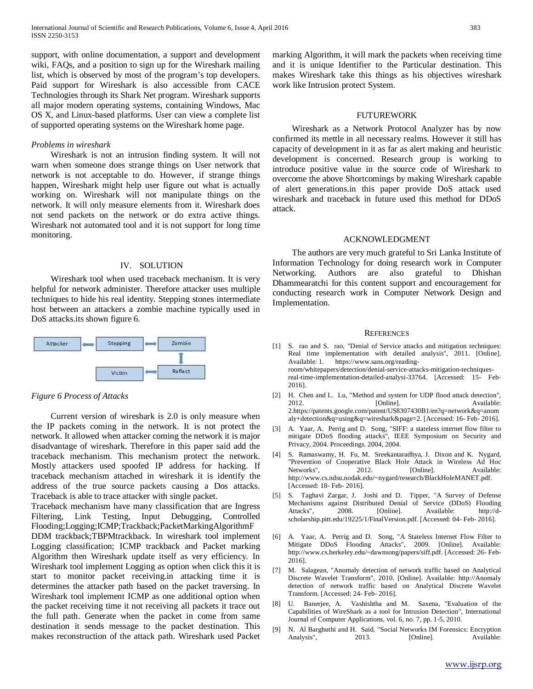support, with online documentation, a support and development wiki, FAQs, and a position to sign up for the Wireshark mailing list, which is observed by most of the program's top developers. Paid support for Wireshark is also accessible from CACE Technologies through its Shark Net program. Wireshark supports all major modern operating systems, containing Windows, Mac OS X, and Linux-based platforms. User can view a complete list of supported operating systems on the Wireshark home page.

## *Problems in wireshark*

 Wireshark is not an intrusion finding system. It will not warn when someone does strange things on User network that network is not acceptable to do. However, if strange things happen, Wireshark might help user figure out what is actually working on. Wireshark will not manipulate things on the network. It will only measure elements from it. Wireshark does not send packets on the network or do extra active things. Wireshark not automated tool and it is not support for long time monitoring.

#### IV. SOLUTION

 Wireshark tool when used traceback mechanism. It is very helpful for network administer. Therefore attacker uses multiple techniques to hide his real identity. Stepping stones intermediate host between an attackers a zombie machine typically used in DoS attacks.its shown figure 6.



## *Figure 6 Process of Attacks*

 Current version of wireshark is 2.0 is only measure when the IP packets coming in the network. It is not protect the network. It allowed when attacker coming the network it is major disadvantage of wireshark. Therefore in this paper said add the traceback mechanism. This mechanism protect the network. Mostly attackers used spoofed IP address for hacking. If traceback mechanism attached in wireshark it is identify the address of the true source packets causing a Dos attacks. Traceback is able to trace attacker with single packet.

Traceback mechanism have many classification that are Ingress Filtering, Link Testing, Input Debugging, Controlled Flooding;Logging;ICMP;Trackback;PacketMarkingAlgorithmF DDM trackback;TBPMtrackback. In wireshark tool implement Logging classification; ICMP trackback and Packet marking Algorithm then Wireshark update itself as very efficiency. In Wireshark tool implement Logging as option when click this it is start to monitor packet receiving.in attacking time it is determines the attacker path based on the packet traversing. In Wireshark tool implement ICMP as one additional option when the packet receiving time it not receiving all packets it trace out the full path. Generate when the packet in come from same destination it sends message to the packet destination. This makes reconstruction of the attack path. Wireshark used Packet marking Algorithm, it will mark the packets when receiving time and it is unique Identifier to the Particular destination. This makes Wireshark take this things as his objectives wireshark work like Intrusion protect System.

#### FUTUREWORK

 Wireshark as a Network Protocol Analyzer has by now confirmed its mettle in all necessary realms. However it still has capacity of development in it as far as alert making and heuristic development is concerned. Research group is working to introduce positive value in the source code of Wireshark to overcome the above Shortcomings by making Wireshark capable of alert generations.in this paper provide DoS attack used wireshark and traceback in future used this method for DDoS attack.

## ACKNOWLEDGMENT

 The authors are very much grateful to Sri Lanka Institute of Information Technology for doing research work in Computer Networking. Authors are also grateful to Dhishan Dhammearatchi for this content support and encouragement for conducting research work in Computer Network Design and Implementation.

#### **REFERENCES**

[1] S. rao and S. rao, "Denial of Service attacks and mitigation techniques: Real time implementation with detailed analysis", 2011. [Online]. Available: 1. https://www.sans.org/readingroom/whitepapers/detection/denial-service-attacks-mitigation-techniques-

real-time-implementation-detailed-analysi-33764. [Accessed: 15- Feb-2016].

- [2] H. Chen and L. Lu, "Method and system for UDP flood attack detection", 2012. **Communist Communist Example 2012.** Available: 2.https://patents.google.com/patent/US8307430B1/en?q=network&q=anom aly+detection&q=using&q=wireshark&page=2. [Accessed: 16- Feb- 2016].
- [3] A. Yaar, A. Perrig and D. Song, "SIFF: a stateless internet flow filter to mitigate DDoS flooding attacks", IEEE Symposium on Security and Privacy, 2004. Proceedings. 2004, 2004.
- [4] S. Ramaswamy, H. Fu, M. Sreekantaradhya, J. Dixon and K. Nygard, "Prevention of Cooperative Black Hole Attack in Wireless Ad Hoc Networks", 2012. [Online]. Available: http://www.cs.ndsu.nodak.edu/~nygard/research/BlackHoleMANET.pdf. [Accessed: 18- Feb- 2016].
- [5] S. Taghavi Zargar, J. Joshi and D. Tipper, "A Survey of Defense Mechanisms against Distributed Denial of Service (DDoS) Flooding Attacks", 2008. [Online]. Available: http://dscholarship.pitt.edu/19225/1/FinalVersion.pdf. [Accessed: 04- Feb- 2016].
- [6] A. Yaar, A. Perrig and D. Song, "A Stateless Internet Flow Filter to Mitigate DDoS Flooding Attacks", 2009. [Online]. Available: http://www.cs.berkeley.edu/~dawnsong/papers/siff.pdf. [Accessed: 26- Feb-2016].
- [7] M. Salagean, "Anomaly detection of network traffic based on Analytical Discrete Wavelet Transform", 2010. [Online]. Available: http://Anomaly detection of network traffic based on Analytical Discrete Wavelet Transform. [Accessed: 24- Feb- 2016].
- [8] U. Banerjee, A. Vashishtha and M. Saxena, "Evaluation of the Capabilities of WireShark as a tool for Intrusion Detection", International Journal of Computer Applications, vol. 6, no. 7, pp. 1-5, 2010.
- [9] N. Al Barghuthi and H. Said, "Social Networks IM Forensics: Encryption Analysis", 2013. [Online]. Available: